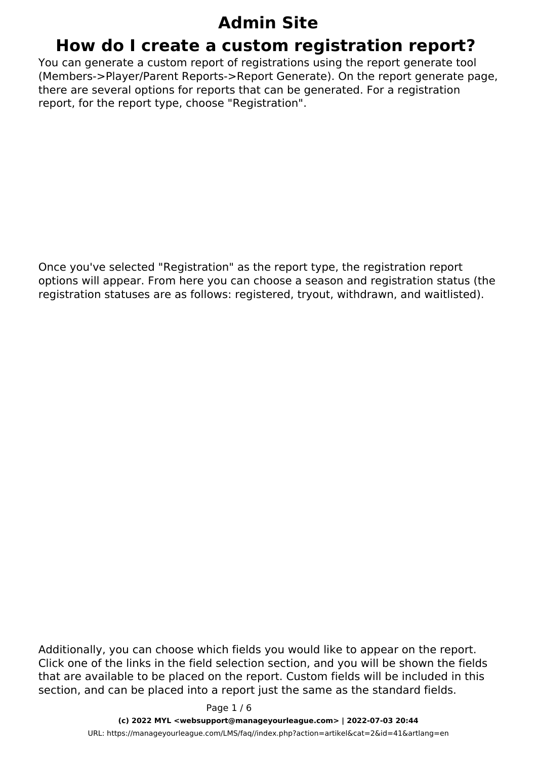#### **How do I create a custom registration report?**

You can generate a custom report of registrations using the report generate tool (Members->Player/Parent Reports->Report Generate). On the report generate page, there are several options for reports that can be generated. For a registration report, for the report type, choose "Registration".

Once you've selected "Registration" as the report type, the registration report options will appear. From here you can choose a season and registration status (the registration statuses are as follows: registered, tryout, withdrawn, and waitlisted).

Additionally, you can choose which fields you would like to appear on the report. Click one of the links in the field selection section, and you will be shown the fields that are available to be placed on the report. Custom fields will be included in this section, and can be placed into a report just the same as the standard fields.

> Page 1 / 6 **(c) 2022 MYL <websupport@manageyourleague.com> | 2022-07-03 20:44** [URL: https://manageyourleague.com/LMS/faq//index.php?action=artikel&cat=2&id=41&artlang=en](https://manageyourleague.com/LMS/faq//index.php?action=artikel&cat=2&id=41&artlang=en)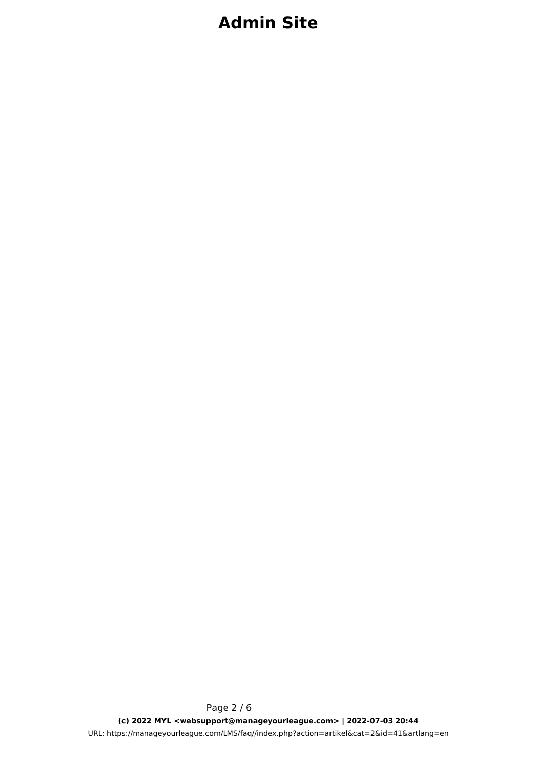Page 2 / 6 **(c) 2022 MYL <websupport@manageyourleague.com> | 2022-07-03 20:44** URL: https://manageyourleague.com/LMS/faq//index.php?action=artikel&cat=2&id=41&artlang=en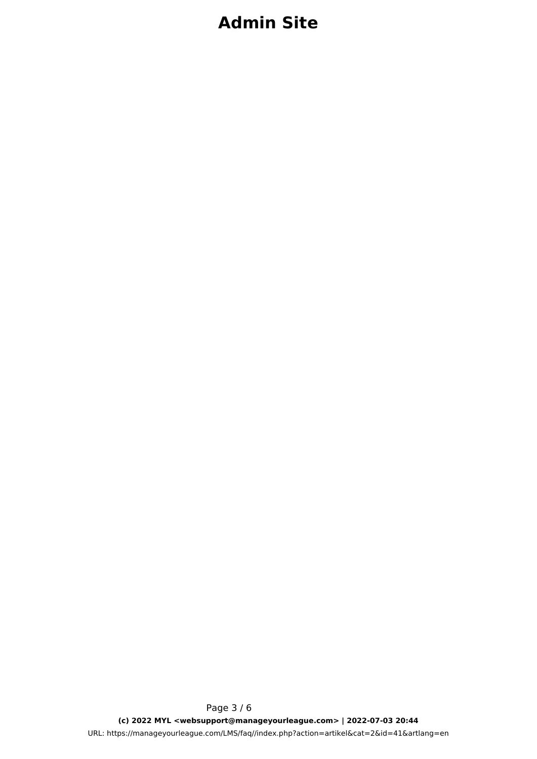Page 3 / 6 **(c) 2022 MYL <websupport@manageyourleague.com> | 2022-07-03 20:44** [URL: https://manageyourleague.com/LMS/faq//index.php?action=artikel&cat=2&id=41&artlang=en](https://manageyourleague.com/LMS/faq//index.php?action=artikel&cat=2&id=41&artlang=en)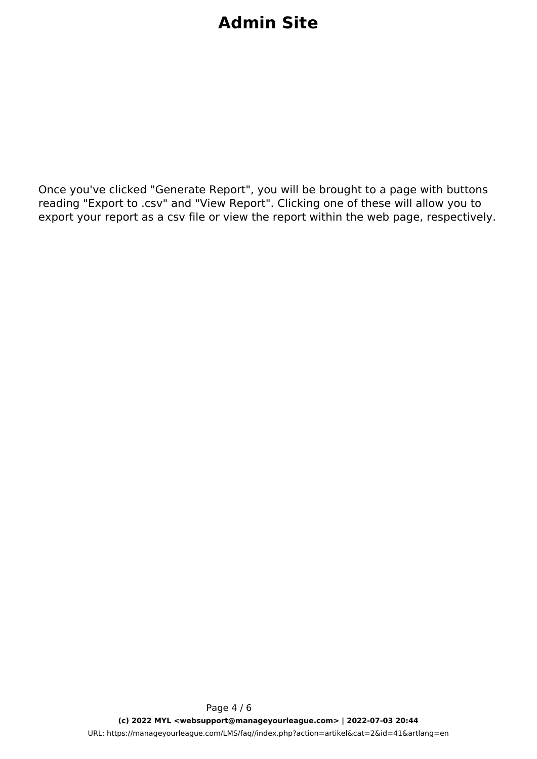Once you've clicked "Generate Report", you will be brought to a page with buttons reading "Export to .csv" and "View Report". Clicking one of these will allow you to export your report as a csv file or view the report within the web page, respectively.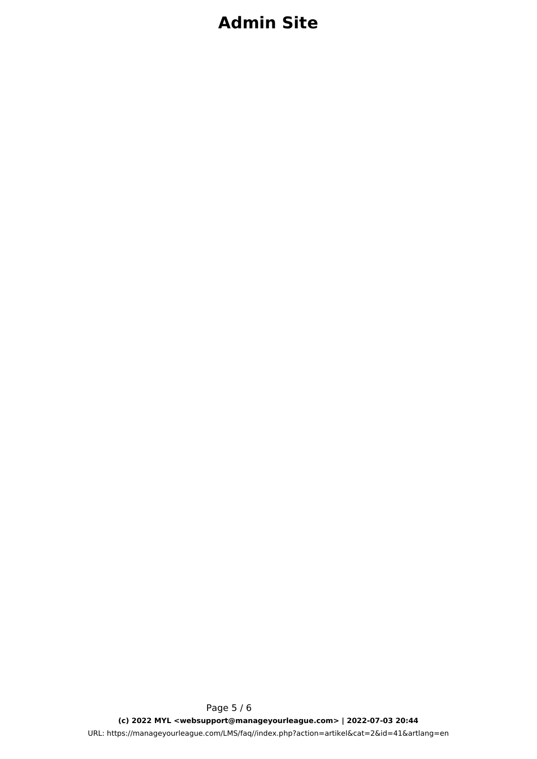Page 5 / 6 **(c) 2022 MYL <websupport@manageyourleague.com> | 2022-07-03 20:44** [URL: https://manageyourleague.com/LMS/faq//index.php?action=artikel&cat=2&id=41&artlang=en](https://manageyourleague.com/LMS/faq//index.php?action=artikel&cat=2&id=41&artlang=en)